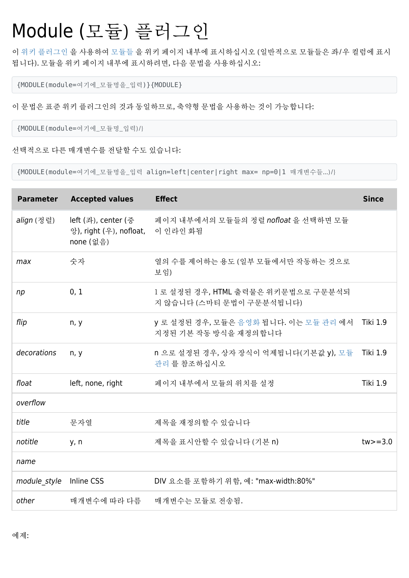# Module (모듈) 플러그인

이 [위키 플러그인](https://doc.tiki.org/Wiki%20Plugin) 을 사용하여 [모듈들](https://doc.tiki.org/Modules) 을 위키 페이지 내부에 표시하십시오 (일반적으로 모듈들은 좌/우 컬럼에 표시 됩니다). 모듈을 위키 페이지 내부에 표시하려면, 다음 문법을 사용하십시오:

{MODULE(module=여기에\_모듈명을\_입력)}{MODULE}

#### 이 문법은 표준 위키 플러그인의 것과 동일하므로, 축약형 문법을 사용하는 것이 가능합니다:

{MODULE(module=여기에\_모듈명\_입력)/}

#### 선택적으로 다른 매개변수를 전달할 수도 있습니다:

{MODULE(module=여기에\_모듈명을\_입력 align=left|center|right max= np=0|1 매개변수들...)/}

| <b>Parameter</b> | <b>Accepted values</b>                                      | <b>Effect</b>                                                  | <b>Since</b>    |
|------------------|-------------------------------------------------------------|----------------------------------------------------------------|-----------------|
| align (정렬)       | left (좌), center (중<br>앙), right (우), nofloat,<br>none (없음) | 페이지 내부에서의 모듈들의 정렬 nofloat 을 선택하면 모듈<br>이 인라인 화됨                |                 |
| max              | 숫자                                                          | 열의 수를 제어하는 용도 (일부 모듈에서만 작동하는 것으로<br>보임)                        |                 |
| np               | 0, 1                                                        | 1 로 설정된 경우, HTML 출력물은 위키문법으로 구문분석되<br>지 않습니다 (스마티 문법이 구문분석됩니다) |                 |
| flip             | n, y                                                        | y 로 설정된 경우, 모듈은 음영화 됩니다. 이는 모듈 관리 에서<br>지정된 기본 작동 방식을 재정의합니다   | <b>Tiki 1.9</b> |
| decorations      | n, y                                                        | n 으로 설정된 경우, 상자 장식이 억제됩니다(기본값 y), 모듈<br>관리 를 참조하십시오            | <b>Tiki 1.9</b> |
| float            | left, none, right                                           | 페이지 내부에서 모듈의 위치를 설정                                            | <b>Tiki 1.9</b> |
| overflow         |                                                             |                                                                |                 |
| title            | 문자열                                                         | 제목을 재정의할 수 있습니다                                                |                 |
| notitle          | y, n                                                        | 제목을 표시안할 수 있습니다 (기본 n)                                         | $tw = 3.0$      |
| name             |                                                             |                                                                |                 |
| module_style     | Inline CSS                                                  | DIV 요소를 포함하기 위함, 예: "max-width:80%"                            |                 |
| other            | 매개변수에 따라 다름                                                 | 매개변수는 모듈로 전송됨.                                                 |                 |